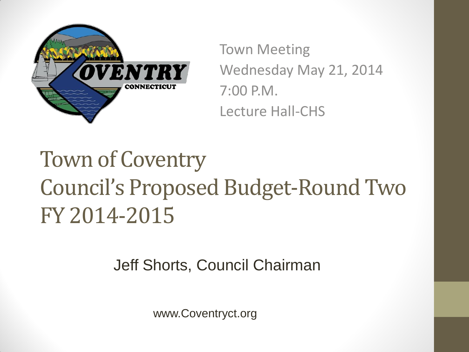

Town Meeting Wednesday May 21, 2014 7:00 P.M. Lecture Hall-CHS

Town of Coventry Council's Proposed Budget-Round Two FY 2014-2015

Jeff Shorts, Council Chairman

www.Coventryct.org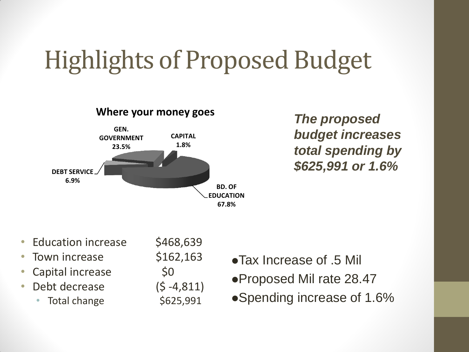### Highlights of Proposed Budget



*The proposed budget increases total spending by \$625,991 or 1.6%*

- Education increase \$468,639
- Town increase \$162,163
- Capital increase  $\sim$  \$0
- Debt decrease (\$ -4,811)
	- Total change  $$625,991$

- Tax Increase of .5 Mil Proposed Mil rate 28.47
- Spending increase of 1.6%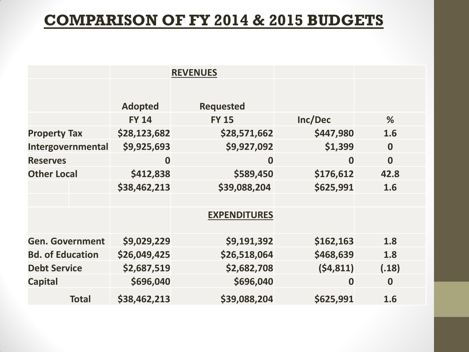#### **COMPARISON OF FY 2014 & 2015 BUDGETS**

|                         | <b>REVENUES</b>  |                     |                  |               |
|-------------------------|------------------|---------------------|------------------|---------------|
|                         |                  |                     |                  |               |
|                         | <b>Adopted</b>   | <b>Requested</b>    |                  |               |
|                         | <b>FY 14</b>     | <b>FY 15</b>        | Inc/Dec          | $\frac{9}{6}$ |
| <b>Property Tax</b>     | \$28,123,682     | \$28,571,662        | \$447,980        | 1.6           |
| Intergovernmental       | \$9,925,693      | \$9,927,092         | \$1,399          | $\bf{0}$      |
| <b>Reserves</b>         | $\boldsymbol{0}$ | $\boldsymbol{0}$    | $\boldsymbol{0}$ | $\bf{0}$      |
| <b>Other Local</b>      | \$412,838        | \$589,450           | \$176,612        | 42.8          |
|                         | \$38,462,213     | \$39,088,204        | \$625,991        | 1.6           |
|                         |                  |                     |                  |               |
|                         |                  | <b>EXPENDITURES</b> |                  |               |
| <b>Gen. Government</b>  | \$9,029,229      | \$9,191,392         | \$162,163        | 1.8           |
| <b>Bd. of Education</b> | \$26,049,425     | \$26,518,064        | \$468,639        | 1.8           |
| <b>Debt Service</b>     | \$2,687,519      | \$2,682,708         | (54, 811)        | (.18)         |
| <b>Capital</b>          | \$696,040        | \$696,040           | $\boldsymbol{0}$ | $\bf{0}$      |
| <b>Total</b>            | \$38,462,213     | \$39,088,204        | \$625,991        | 1.6           |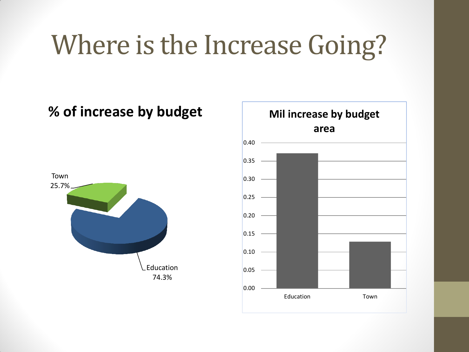## Where is the Increase Going?

#### **% of increase by budget**



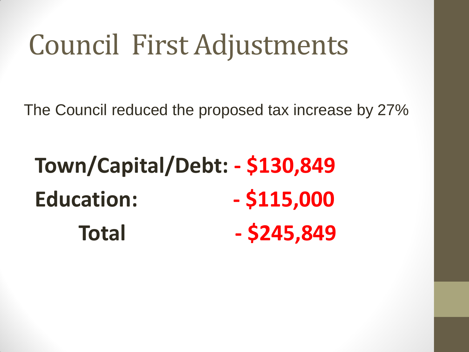# Council First Adjustments

The Council reduced the proposed tax increase by 27%

**Town/Capital/Debt: - \$130,849 Education: - \$115,000 Total - \$245,849**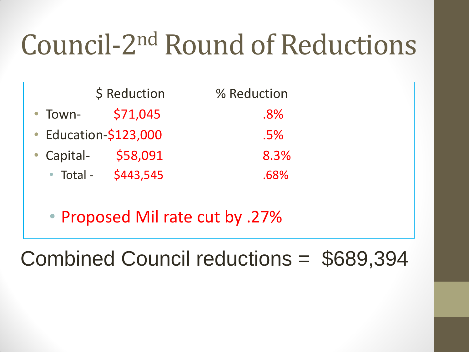# Council-2 nd Round of Reductions

|            | \$ Reduction          | % Reduction |
|------------|-----------------------|-------------|
| • Town-    | \$71,045              | $.8\%$      |
|            | • Education-\$123,000 | $.5\%$      |
| • Capital- | \$58,091              | 8.3%        |
| • Total -  | \$443,545             | .68%        |

• Proposed Mil rate cut by .27%

#### Combined Council reductions = \$689,394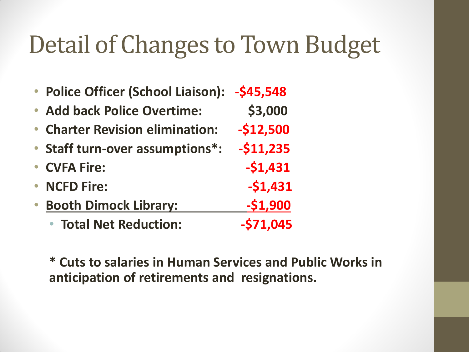### Detail of Changes to Town Budget

|           | <b>Police Officer (School Liaison):</b> | -\$45,548  |
|-----------|-----------------------------------------|------------|
|           | • Add back Police Overtime:             | \$3,000    |
|           | • Charter Revision elimination:         | $-512,500$ |
|           | • Staff turn-over assumptions*:         | $-$11,235$ |
|           | • CVFA Fire:                            | $-51,431$  |
| $\bullet$ | <b>NCFD Fire:</b>                       | $-51,431$  |
|           | <b>Booth Dimock Library:</b>            | $-51,900$  |
|           | <b>• Total Net Reduction:</b>           | $-571,045$ |

**\* Cuts to salaries in Human Services and Public Works in anticipation of retirements and resignations.**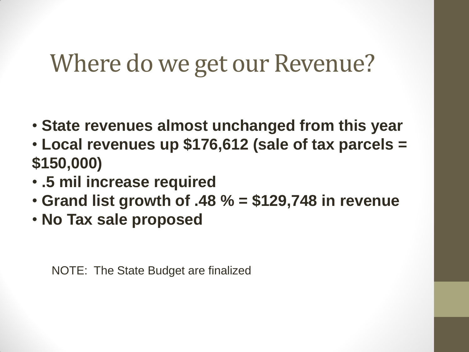### Where do we get our Revenue?

- **State revenues almost unchanged from this year**
- **Local revenues up \$176,612 (sale of tax parcels = \$150,000)**
- **.5 mil increase required**
- **Grand list growth of .48 % = \$129,748 in revenue**
- **No Tax sale proposed**

NOTE: The State Budget are finalized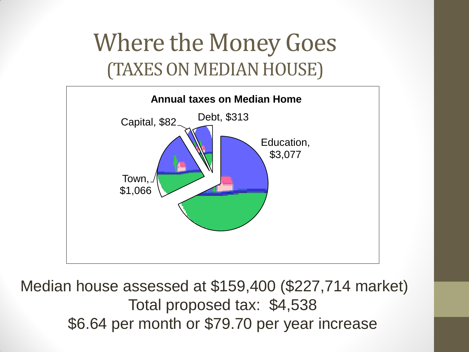### Where the Money Goes (TAXES ON MEDIAN HOUSE)



Median house assessed at \$159,400 (\$227,714 market) Total proposed tax: \$4,538 \$6.64 per month or \$79.70 per year increase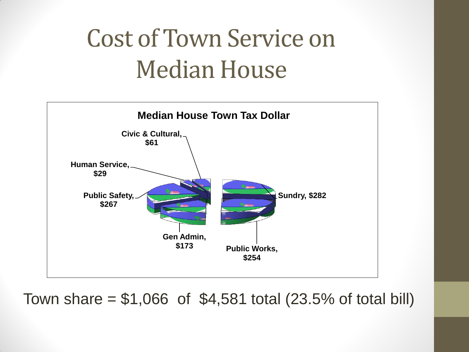### Cost of Town Service on Median House



Town share =  $$1,066$  of  $$4,581$  total  $(23.5\%$  of total bill)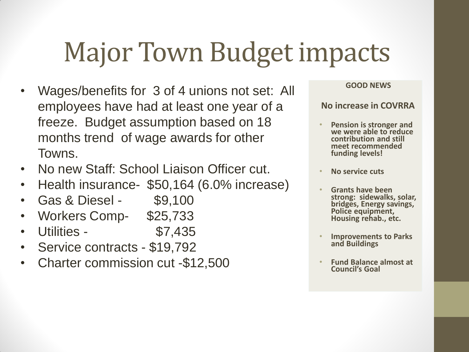# Major Town Budget impacts

- Wages/benefits for 3 of 4 unions not set: All employees have had at least one year of a freeze. Budget assumption based on 18 months trend of wage awards for other Towns.
- No new Staff: School Liaison Officer cut.
- Health insurance- \$50,164 (6.0% increase)
- Gas & Diesel \$9,100
- Workers Comp- \$25,733
- Utilities \$7,435
- Service contracts \$19,792
- Charter commission cut -\$12,500

#### **GOOD NEWS**

#### **No increase in COVRRA**

- **Pension is stronger and we were able to reduce contribution and still meet recommended funding levels!**
- **No service cuts**
- **Grants have been strong: sidewalks, solar, bridges, Energy savings, Police equipment, Housing rehab., etc.**
- **Improvements to Parks and Buildings**
- **Fund Balance almost at Council's Goal**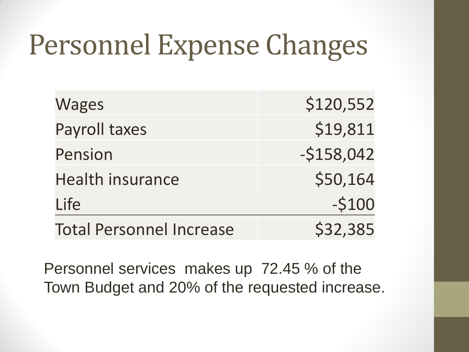# Personnel Expense Changes

| <b>Wages</b>                    | \$120,552   |
|---------------------------------|-------------|
| Payroll taxes                   | \$19,811    |
| Pension                         | $-5158,042$ |
| <b>Health insurance</b>         | \$50,164    |
| Life                            | $-5100$     |
| <b>Total Personnel Increase</b> | \$32,385    |

Personnel services makes up 72.45 % of the Town Budget and 20% of the requested increase.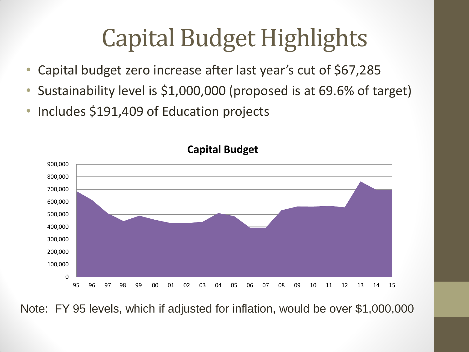### Capital Budget Highlights

- Capital budget zero increase after last year's cut of \$67,285
- Sustainability level is \$1,000,000 (proposed is at 69.6% of target)
- Includes \$191,409 of Education projects



**Capital Budget**

Note: FY 95 levels, which if adjusted for inflation, would be over \$1,000,000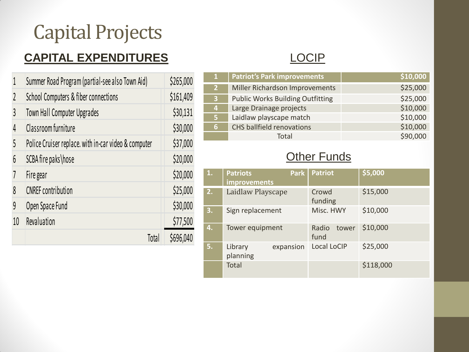#### Capital Projects

#### **CAPITAL EXPENDITURES**

| 1  | Summer Road Program (partial-see also Town Aid)      | \$265,000 |
|----|------------------------------------------------------|-----------|
| 2  | School Computers & fiber connections                 | \$161,409 |
| 3  | Town Hall Computer Upgrades                          | \$30,131  |
| 4  | Classroom furniture                                  | \$30,000  |
| 5  | Police Cruiser replace. with in-car video & computer | \$37,000  |
| 6  | SCBA fire paks\hose                                  | \$20,000  |
| 7  | Fire gear                                            | \$20,000  |
| 8  | <b>CNREF</b> contribution                            | \$25,000  |
| 9  | Open Space Fund                                      | \$30,000  |
| 10 | Revaluation                                          | \$77,500  |
|    | Total                                                | \$696,040 |

#### LOCIP

|    | <b>Patriot's Park improvements</b>      | \$10,000 |
|----|-----------------------------------------|----------|
| 2  | Miller Richardson Improvements          | \$25,000 |
| 3  | <b>Public Works Building Outfitting</b> | \$25,000 |
| 47 | Large Drainage projects                 | \$10,000 |
| 5  | Laidlaw playscape match                 | \$10,000 |
| 6  | <b>CHS</b> ballfield renovations        | \$10,000 |
|    | Total                                   | \$90,000 |

#### **Other Funds**

| 1. | <b>Park</b><br><b>Patriots</b><br><b>improvements</b> | <b>Patriot</b>         | \$5,000   |
|----|-------------------------------------------------------|------------------------|-----------|
| 2. | Laidlaw Playscape                                     | Crowd<br>funding       | \$15,000  |
| 3. | Sign replacement                                      | Misc. HWY              | \$10,000  |
| 4. | Tower equipment                                       | Radio<br>tower<br>fund | \$10,000  |
| 5. | expansion<br>Library<br>planning                      | Local LoCIP            | \$25,000  |
|    | Total                                                 |                        | \$118,000 |